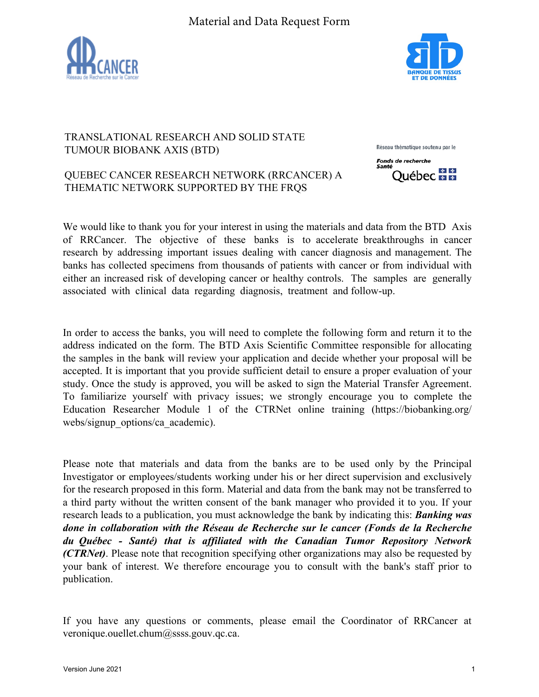



## TRANSLATIONAL RESEARCH AND SOLID STATE TUMOUR BIOBANK AXIS (BTD)

Réseau thématique soutenu par le

Québec **HH** 

**Fonds de recherche** 

## QUEBEC CANCER RESEARCH NETWORK (RRCANCER) A THEMATIC NETWORK SUPPORTED BY THE FRQS

We would like to thank you for your interest in using the materials and data from the BTD Axis of RRCancer. The objective of these banks is to accelerate breakthroughs in cancer research by addressing important issues dealing with cancer diagnosis and management. The banks has collected specimens from thousands of patients with cancer or from individual with either an increased risk of developing cancer or healthy controls. The samples are generally associated with clinical data regarding diagnosis, treatment and follow-up.

In order to access the banks, you will need to complete the following form and return it to the address indicated on the form. The BTD Axis Scientific Committee responsible for allocating the samples in the bank will review your application and decide whether your proposal will be accepted. It is important that you provide sufficient detail to ensure a proper evaluation of your study. Once the study is approved, you will be asked to sign the Material Transfer Agreement. To familiarize yourself with privacy issues; we strongly encourage you to complete the Education Researcher Module 1 of the CTRNet online training (https://biobanking.org/ webs/signup\_options/ca\_academic).

Please note that materials and data from the banks are to be used only by the Principal Investigator or employees/students working under his or her direct supervision and exclusively for the research proposed in this form. Material and data from the bank may not be transferred to a third party without the written consent of the bank manager who provided it to you. If your research leads to a publication, you must acknowledge the bank by indicating this: *Banking was done in collaboration with the Réseau de Recherche sur le cancer (Fonds de la Recherche du Québec - Santé) that is affiliated with the Canadian Tumor Repository Network (CTRNet)*. Please note that recognition specifying other organizations may also be requested by your bank of interest. We therefore encourage you to consult with the bank's staff prior to publication.

If you have any questions or comments, please email the Coordinator of RRCancer at veronique.ouellet.chum@ssss.gouv.qc.ca.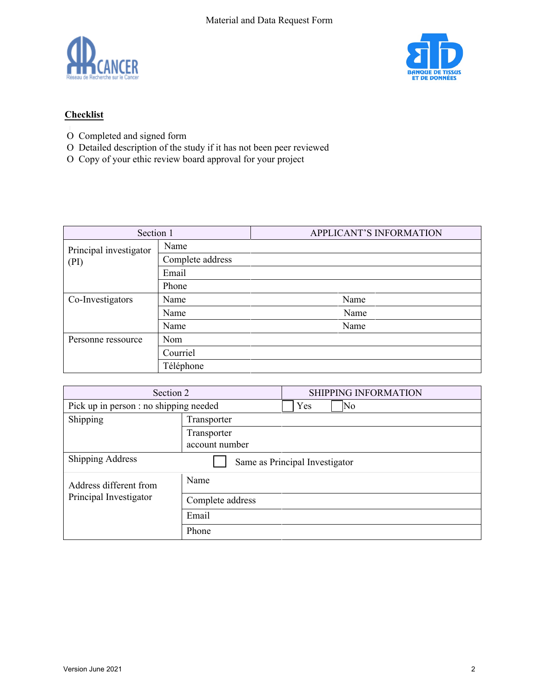



## **Checklist**

- $\mathbf{1}$ O Completed and signed form
- O Detailed description of the study if it has not been peer reviewed
- O Copy of your ethic review board approval for your project

| Section 1              |                  | APPLICANT'S INFORMATION |  |  |
|------------------------|------------------|-------------------------|--|--|
| Principal investigator | Name             |                         |  |  |
| (PI)                   | Complete address |                         |  |  |
|                        | Email            |                         |  |  |
|                        | Phone            |                         |  |  |
| Co-Investigators       | Name             | Name                    |  |  |
|                        | Name             | Name                    |  |  |
|                        | Name             | Name                    |  |  |
| Personne ressource     | Nom              |                         |  |  |
|                        | Courriel         |                         |  |  |
|                        | Téléphone        |                         |  |  |

| Section 2                              |                  | SHIPPING INFORMATION           |  |
|----------------------------------------|------------------|--------------------------------|--|
| Pick up in person : no shipping needed |                  | N <sub>0</sub><br>Yes          |  |
| Shipping                               | Transporter      |                                |  |
|                                        | Transporter      |                                |  |
|                                        | account number   |                                |  |
| <b>Shipping Address</b>                |                  | Same as Principal Investigator |  |
| Address different from                 | Name             |                                |  |
| Principal Investigator                 | Complete address |                                |  |
| Email                                  |                  |                                |  |
|                                        | Phone            |                                |  |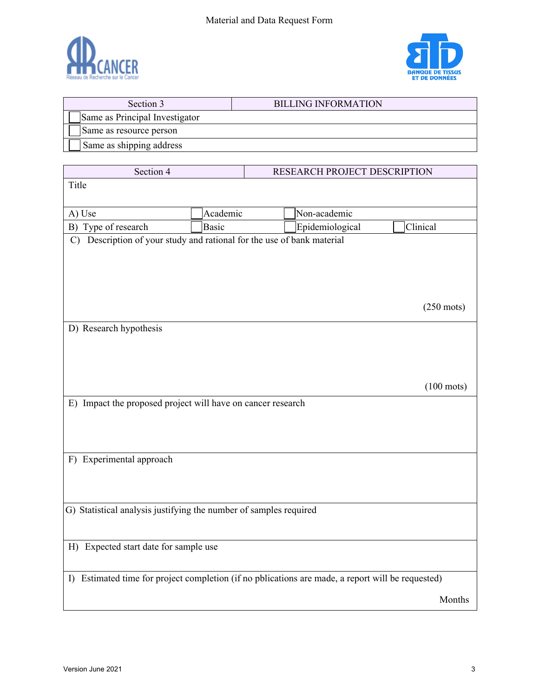

Г



٦

| Section 3                                                                                         |              |  | <b>BILLING INFORMATION</b>   |                      |
|---------------------------------------------------------------------------------------------------|--------------|--|------------------------------|----------------------|
| Same as Principal Investigator                                                                    |              |  |                              |                      |
| Same as resource person                                                                           |              |  |                              |                      |
| Same as shipping address                                                                          |              |  |                              |                      |
|                                                                                                   |              |  |                              |                      |
| Section 4                                                                                         |              |  | RESEARCH PROJECT DESCRIPTION |                      |
| Title                                                                                             |              |  |                              |                      |
|                                                                                                   |              |  |                              |                      |
| A) Use                                                                                            | Academic     |  | Non-academic                 |                      |
| B) Type of research                                                                               | <b>Basic</b> |  | Epidemiological              | Clinical             |
| Description of your study and rational for the use of bank material<br>$\mathcal{C}$              |              |  |                              |                      |
|                                                                                                   |              |  |                              |                      |
|                                                                                                   |              |  |                              |                      |
|                                                                                                   |              |  |                              |                      |
|                                                                                                   |              |  |                              |                      |
|                                                                                                   |              |  |                              | $(250 \text{ mots})$ |
| D) Research hypothesis                                                                            |              |  |                              |                      |
|                                                                                                   |              |  |                              |                      |
|                                                                                                   |              |  |                              |                      |
|                                                                                                   |              |  |                              |                      |
|                                                                                                   |              |  |                              |                      |
|                                                                                                   |              |  |                              | $(100 \text{ mots})$ |
| E) Impact the proposed project will have on cancer research                                       |              |  |                              |                      |
|                                                                                                   |              |  |                              |                      |
|                                                                                                   |              |  |                              |                      |
|                                                                                                   |              |  |                              |                      |
| F) Experimental approach                                                                          |              |  |                              |                      |
|                                                                                                   |              |  |                              |                      |
|                                                                                                   |              |  |                              |                      |
|                                                                                                   |              |  |                              |                      |
| G) Statistical analysis justifying the number of samples required                                 |              |  |                              |                      |
|                                                                                                   |              |  |                              |                      |
|                                                                                                   |              |  |                              |                      |
| H) Expected start date for sample use                                                             |              |  |                              |                      |
|                                                                                                   |              |  |                              |                      |
| I) Estimated time for project completion (if no pblications are made, a report will be requested) |              |  |                              |                      |
|                                                                                                   |              |  |                              | Months               |
|                                                                                                   |              |  |                              |                      |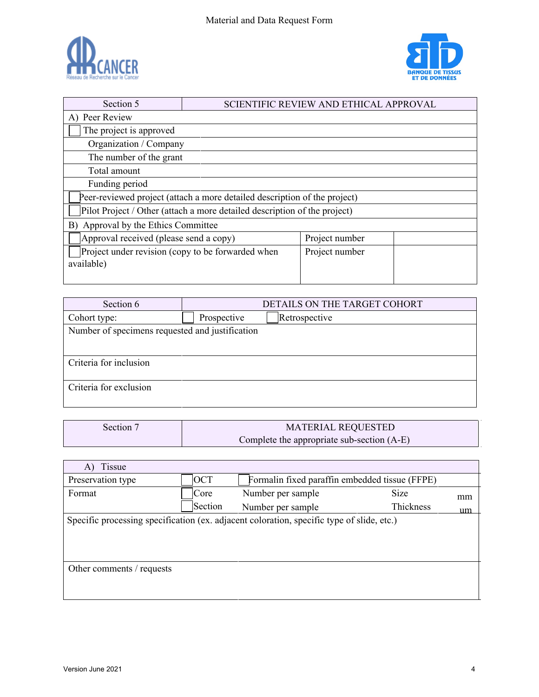



| Section 5                                                       |                                                                           | SCIENTIFIC REVIEW AND ETHICAL APPROVAL |  |
|-----------------------------------------------------------------|---------------------------------------------------------------------------|----------------------------------------|--|
| A) Peer Review                                                  |                                                                           |                                        |  |
| The project is approved                                         |                                                                           |                                        |  |
| Organization / Company                                          |                                                                           |                                        |  |
| The number of the grant                                         |                                                                           |                                        |  |
| Total amount                                                    |                                                                           |                                        |  |
| Funding period                                                  |                                                                           |                                        |  |
|                                                                 | Peer-reviewed project (attach a more detailed description of the project) |                                        |  |
|                                                                 | Pilot Project / Other (attach a more detailed description of the project) |                                        |  |
| Approval by the Ethics Committee<br>B)                          |                                                                           |                                        |  |
| Approval received (please send a copy)                          |                                                                           | Project number                         |  |
| Project under revision (copy to be forwarded when<br>available) |                                                                           | Project number                         |  |

| Section 6                                       | DETAILS ON THE TARGET COHORT |  |  |
|-------------------------------------------------|------------------------------|--|--|
| Cohort type:                                    | Retrospective<br>Prospective |  |  |
| Number of specimens requested and justification |                              |  |  |
|                                                 |                              |  |  |
| Criteria for inclusion                          |                              |  |  |
| Criteria for exclusion                          |                              |  |  |

| Section 7 | <b>MATERIAL REQUESTED</b>                    |
|-----------|----------------------------------------------|
|           | Complete the appropriate sub-section $(A-E)$ |

| Tissue<br>A)                                                                              |            |                                                |           |    |
|-------------------------------------------------------------------------------------------|------------|------------------------------------------------|-----------|----|
| Preservation type                                                                         | <b>OCT</b> | Formalin fixed paraffin embedded tissue (FFPE) |           |    |
| Format                                                                                    | Core       | Number per sample                              | Size      | mm |
|                                                                                           | Section    | Number per sample                              | Thickness | um |
| Specific processing specification (ex. adjacent coloration, specific type of slide, etc.) |            |                                                |           |    |
|                                                                                           |            |                                                |           |    |
|                                                                                           |            |                                                |           |    |
|                                                                                           |            |                                                |           |    |
| Other comments / requests                                                                 |            |                                                |           |    |
|                                                                                           |            |                                                |           |    |
|                                                                                           |            |                                                |           |    |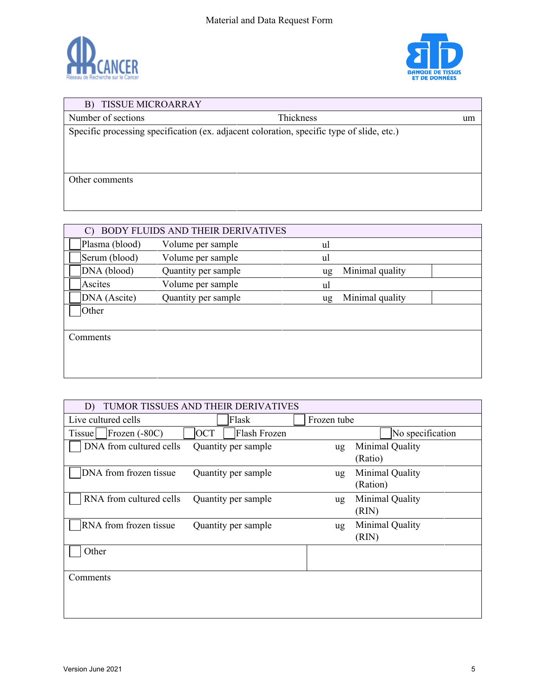



## B) TISSUE MICROARRAY Number of sections Thickness um Specific processing specification (ex. adjacent coloration, specific type of slide, etc.) Other comments

| C)             | BODY FLUIDS AND THEIR DERIVATIVES |    |                 |
|----------------|-----------------------------------|----|-----------------|
| Plasma (blood) | Volume per sample                 | ul |                 |
| Serum (blood)  | Volume per sample                 | ul |                 |
| DNA (blood)    | Quantity per sample               | ug | Minimal quality |
| Ascites        | Volume per sample                 | ul |                 |
| DNA (Ascite)   | Quantity per sample               | ug | Minimal quality |
| Other          |                                   |    |                 |
|                |                                   |    |                 |
| Comments       |                                   |    |                 |
|                |                                   |    |                 |
|                |                                   |    |                 |
|                |                                   |    |                 |

| D)                            | TUMOR TISSUES AND THEIR DERIVATIVES |             |                  |
|-------------------------------|-------------------------------------|-------------|------------------|
| Live cultured cells           | Flask                               | Frozen tube |                  |
| $[$ Frozen $(-80C)$<br>Tissue | <b>OCT</b><br>Flash Frozen          |             | No specification |
| DNA from cultured cells       | Quantity per sample                 | ug          | Minimal Quality  |
|                               |                                     |             | (Ratio)          |
| DNA from frozen tissue        | Quantity per sample                 | ug          | Minimal Quality  |
|                               |                                     |             | (Ration)         |
| RNA from cultured cells       | Quantity per sample                 | ug          | Minimal Quality  |
|                               |                                     |             | (RIN)            |
| RNA from frozen tissue        | Quantity per sample                 | ug          | Minimal Quality  |
|                               |                                     |             | (RIN)            |
| Other                         |                                     |             |                  |
|                               |                                     |             |                  |
| Comments                      |                                     |             |                  |
|                               |                                     |             |                  |
|                               |                                     |             |                  |
|                               |                                     |             |                  |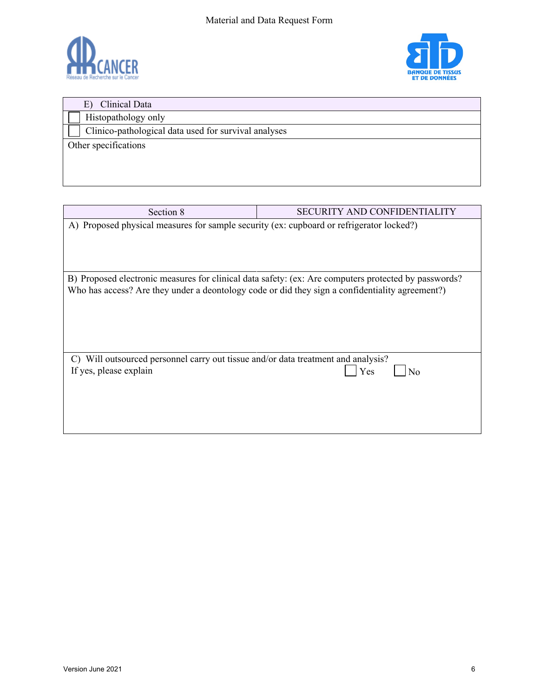



| Clinical Data<br>E)                                  |
|------------------------------------------------------|
| Histopathology only                                  |
| Clinico-pathological data used for survival analyses |
| Other specifications                                 |
|                                                      |
|                                                      |
|                                                      |

| Section 8                                                                                | <b>SECURITY AND CONFIDENTIALITY</b>                                                                   |
|------------------------------------------------------------------------------------------|-------------------------------------------------------------------------------------------------------|
| A) Proposed physical measures for sample security (ex: cupboard or refrigerator locked?) |                                                                                                       |
|                                                                                          |                                                                                                       |
|                                                                                          |                                                                                                       |
|                                                                                          |                                                                                                       |
|                                                                                          | B) Proposed electronic measures for clinical data safety: (ex: Are computers protected by passwords?) |
|                                                                                          | Who has access? Are they under a deontology code or did they sign a confidentiality agreement?)       |
|                                                                                          |                                                                                                       |
|                                                                                          |                                                                                                       |
|                                                                                          |                                                                                                       |
|                                                                                          |                                                                                                       |
| Will outsourced personnel carry out tissue and/or data treatment and analysis?<br>C)     |                                                                                                       |
| If yes, please explain                                                                   | Yes<br>No                                                                                             |
|                                                                                          |                                                                                                       |
|                                                                                          |                                                                                                       |
|                                                                                          |                                                                                                       |
|                                                                                          |                                                                                                       |